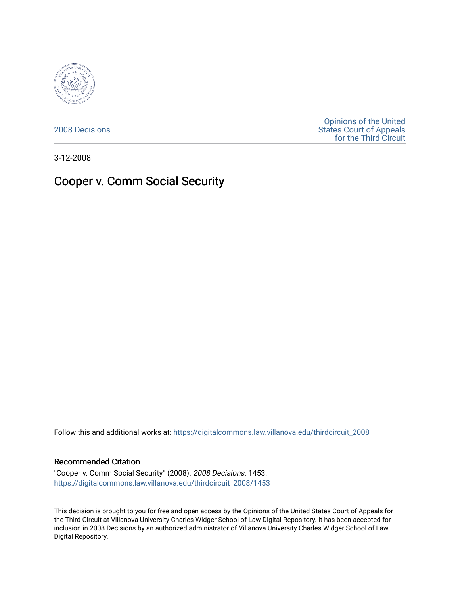

[2008 Decisions](https://digitalcommons.law.villanova.edu/thirdcircuit_2008)

[Opinions of the United](https://digitalcommons.law.villanova.edu/thirdcircuit)  [States Court of Appeals](https://digitalcommons.law.villanova.edu/thirdcircuit)  [for the Third Circuit](https://digitalcommons.law.villanova.edu/thirdcircuit) 

3-12-2008

# Cooper v. Comm Social Security

Follow this and additional works at: [https://digitalcommons.law.villanova.edu/thirdcircuit\\_2008](https://digitalcommons.law.villanova.edu/thirdcircuit_2008?utm_source=digitalcommons.law.villanova.edu%2Fthirdcircuit_2008%2F1453&utm_medium=PDF&utm_campaign=PDFCoverPages) 

#### Recommended Citation

"Cooper v. Comm Social Security" (2008). 2008 Decisions. 1453. [https://digitalcommons.law.villanova.edu/thirdcircuit\\_2008/1453](https://digitalcommons.law.villanova.edu/thirdcircuit_2008/1453?utm_source=digitalcommons.law.villanova.edu%2Fthirdcircuit_2008%2F1453&utm_medium=PDF&utm_campaign=PDFCoverPages) 

This decision is brought to you for free and open access by the Opinions of the United States Court of Appeals for the Third Circuit at Villanova University Charles Widger School of Law Digital Repository. It has been accepted for inclusion in 2008 Decisions by an authorized administrator of Villanova University Charles Widger School of Law Digital Repository.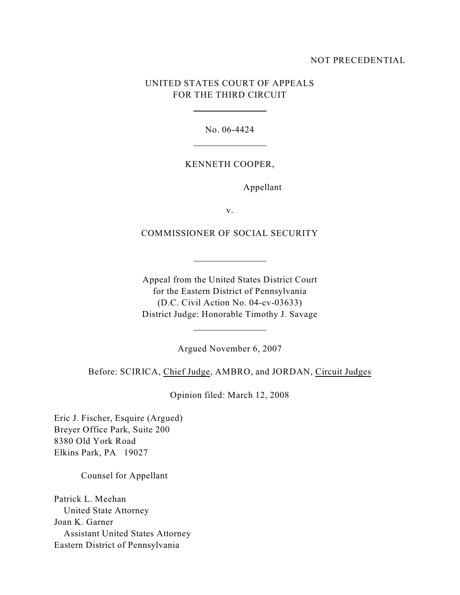## NOT PRECEDENTIAL

## UNITED STATES COURT OF APPEALS FOR THE THIRD CIRCUIT

 $\overline{a}$ 

l

l

 $\overline{a}$ 

No. 06-4424

#### KENNETH COOPER,

Appellant

v.

COMMISSIONER OF SOCIAL SECURITY

Appeal from the United States District Court for the Eastern District of Pennsylvania (D.C. Civil Action No. 04-cv-03633) District Judge: Honorable Timothy J. Savage

Argued November 6, 2007

Before: SCIRICA, Chief Judge, AMBRO, and JORDAN, Circuit Judges

Opinion filed: March 12, 2008

Eric J. Fischer, Esquire (Argued) Breyer Office Park, Suite 200 8380 Old York Road Elkins Park, PA 19027

Counsel for Appellant

Patrick L. Meehan United State Attorney Joan K. Garner Assistant United States Attorney Eastern District of Pennsylvania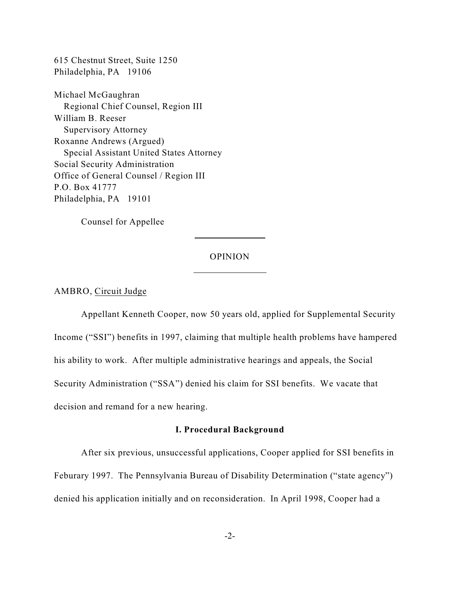615 Chestnut Street, Suite 1250 Philadelphia, PA 19106

Michael McGaughran Regional Chief Counsel, Region III William B. Reeser Supervisory Attorney Roxanne Andrews (Argued) Special Assistant United States Attorney Social Security Administration Office of General Counsel / Region III P.O. Box 41777 Philadelphia, PA 19101

Counsel for Appellee

#### OPINION

 $\overline{a}$ 

l

### AMBRO, Circuit Judge

Appellant Kenneth Cooper, now 50 years old, applied for Supplemental Security Income ("SSI") benefits in 1997, claiming that multiple health problems have hampered his ability to work. After multiple administrative hearings and appeals, the Social Security Administration ("SSA") denied his claim for SSI benefits. We vacate that decision and remand for a new hearing.

## **I. Procedural Background**

After six previous, unsuccessful applications, Cooper applied for SSI benefits in Feburary 1997. The Pennsylvania Bureau of Disability Determination ("state agency") denied his application initially and on reconsideration. In April 1998, Cooper had a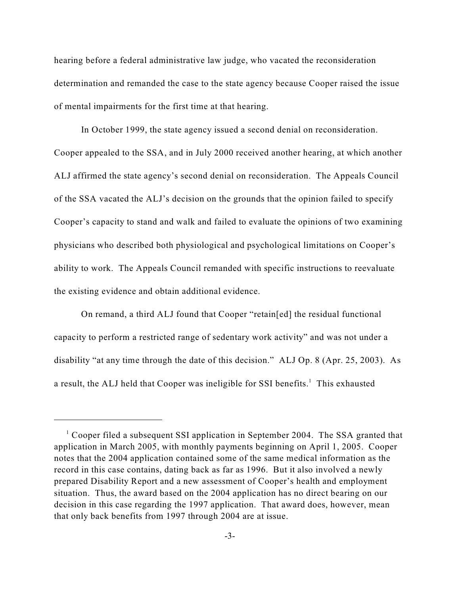hearing before a federal administrative law judge, who vacated the reconsideration determination and remanded the case to the state agency because Cooper raised the issue of mental impairments for the first time at that hearing.

In October 1999, the state agency issued a second denial on reconsideration. Cooper appealed to the SSA, and in July 2000 received another hearing, at which another ALJ affirmed the state agency's second denial on reconsideration. The Appeals Council of the SSA vacated the ALJ's decision on the grounds that the opinion failed to specify Cooper's capacity to stand and walk and failed to evaluate the opinions of two examining physicians who described both physiological and psychological limitations on Cooper's ability to work. The Appeals Council remanded with specific instructions to reevaluate the existing evidence and obtain additional evidence.

On remand, a third ALJ found that Cooper "retain[ed] the residual functional capacity to perform a restricted range of sedentary work activity" and was not under a disability "at any time through the date of this decision." ALJ Op. 8 (Apr. 25, 2003). As a result, the ALJ held that Cooper was ineligible for SSI benefits.<sup>1</sup> This exhausted

 $\frac{1}{2}$  Cooper filed a subsequent SSI application in September 2004. The SSA granted that application in March 2005, with monthly payments beginning on April 1, 2005. Cooper notes that the 2004 application contained some of the same medical information as the record in this case contains, dating back as far as 1996. But it also involved a newly prepared Disability Report and a new assessment of Cooper's health and employment situation. Thus, the award based on the 2004 application has no direct bearing on our decision in this case regarding the 1997 application. That award does, however, mean that only back benefits from 1997 through 2004 are at issue.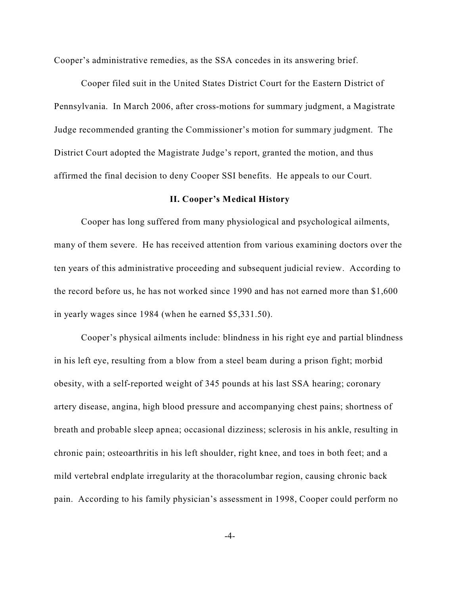Cooper's administrative remedies, as the SSA concedes in its answering brief.

Cooper filed suit in the United States District Court for the Eastern District of Pennsylvania. In March 2006, after cross-motions for summary judgment, a Magistrate Judge recommended granting the Commissioner's motion for summary judgment. The District Court adopted the Magistrate Judge's report, granted the motion, and thus affirmed the final decision to deny Cooper SSI benefits. He appeals to our Court.

### **II. Cooper's Medical History**

Cooper has long suffered from many physiological and psychological ailments, many of them severe. He has received attention from various examining doctors over the ten years of this administrative proceeding and subsequent judicial review.According to the record before us, he has not worked since 1990 and has not earned more than \$1,600 in yearly wages since 1984 (when he earned \$5,331.50).

Cooper's physical ailments include: blindness in his right eye and partial blindness in his left eye, resulting from a blow from a steel beam during a prison fight; morbid obesity, with a self-reported weight of 345 pounds at his last SSA hearing; coronary artery disease, angina, high blood pressure and accompanying chest pains; shortness of breath and probable sleep apnea; occasional dizziness; sclerosis in his ankle, resulting in chronic pain; osteoarthritis in his left shoulder, right knee, and toes in both feet; and a mild vertebral endplate irregularity at the thoracolumbar region, causing chronic back pain. According to his family physician's assessment in 1998, Cooper could perform no

-4-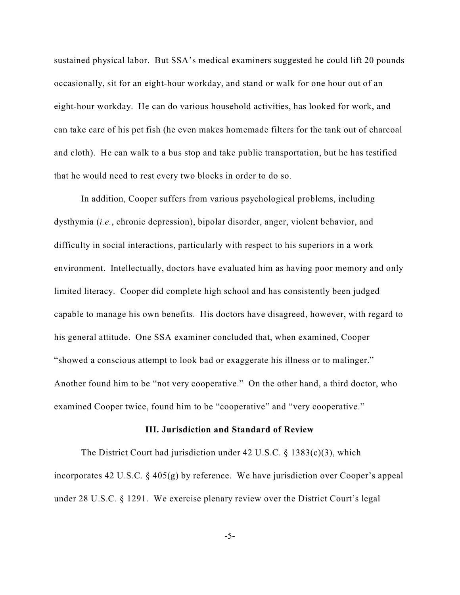sustained physical labor. But SSA's medical examiners suggested he could lift 20 pounds occasionally, sit for an eight-hour workday, and stand or walk for one hour out of an eight-hour workday. He can do various household activities, has looked for work, and can take care of his pet fish (he even makes homemade filters for the tank out of charcoal and cloth). He can walk to a bus stop and take public transportation, but he has testified that he would need to rest every two blocks in order to do so.

In addition, Cooper suffers from various psychological problems, including dysthymia (*i.e.*, chronic depression), bipolar disorder, anger, violent behavior, and difficulty in social interactions, particularly with respect to his superiors in a work environment. Intellectually, doctors have evaluated him as having poor memory and only limited literacy. Cooper did complete high school and has consistently been judged capable to manage his own benefits. His doctors have disagreed, however, with regard to his general attitude. One SSA examiner concluded that, when examined, Cooper "showed a conscious attempt to look bad or exaggerate his illness or to malinger." Another found him to be "not very cooperative." On the other hand, a third doctor, who examined Cooper twice, found him to be "cooperative" and "very cooperative."

#### **III. Jurisdiction and Standard of Review**

The District Court had jurisdiction under 42 U.S.C. § 1383(c)(3), which incorporates 42 U.S.C.  $\&$  405(g) by reference. We have jurisdiction over Cooper's appeal under 28 U.S.C. § 1291. We exercise plenary review over the District Court's legal

-5-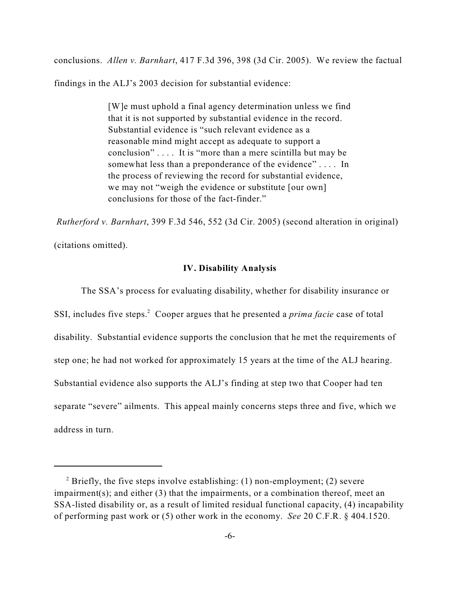conclusions. *Allen v. Barnhart*, 417 F.3d 396, 398 (3d Cir. 2005). We review the factual

findings in the ALJ's 2003 decision for substantial evidence:

[W]e must uphold a final agency determination unless we find that it is not supported by substantial evidence in the record. Substantial evidence is "such relevant evidence as a reasonable mind might accept as adequate to support a conclusion" . . . . It is "more than a mere scintilla but may be somewhat less than a preponderance of the evidence" . . . . In the process of reviewing the record for substantial evidence, we may not "weigh the evidence or substitute [our own] conclusions for those of the fact-finder."

*Rutherford v. Barnhart*, 399 F.3d 546, 552 (3d Cir. 2005) (second alteration in original) (citations omitted).

## **IV. Disability Analysis**

The SSA's process for evaluating disability, whether for disability insurance or SSI, includes five steps.<sup>2</sup> Cooper argues that he presented a *prima facie* case of total disability. Substantial evidence supports the conclusion that he met the requirements of step one; he had not worked for approximately 15 years at the time of the ALJ hearing. Substantial evidence also supports the ALJ's finding at step two that Cooper had ten separate "severe" ailments. This appeal mainly concerns steps three and five, which we address in turn.

<sup>&</sup>lt;sup>2</sup> Briefly, the five steps involve establishing: (1) non-employment; (2) severe impairment(s); and either (3) that the impairments, or a combination thereof, meet an SSA-listed disability or, as a result of limited residual functional capacity, (4) incapability of performing past work or (5) other work in the economy. *See* 20 C.F.R. § 404.1520.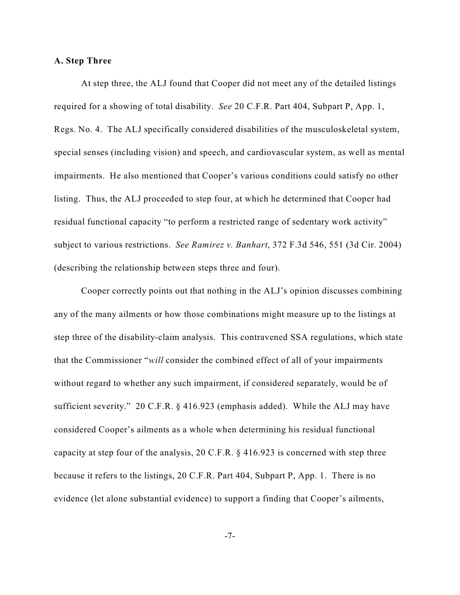#### **A. Step Three**

At step three, the ALJ found that Cooper did not meet any of the detailed listings required for a showing of total disability. *See* 20 C.F.R. Part 404, Subpart P, App. 1, Regs. No. 4. The ALJ specifically considered disabilities of the musculoskeletal system, special senses (including vision) and speech, and cardiovascular system, as well as mental impairments. He also mentioned that Cooper's various conditions could satisfy no other listing. Thus, the ALJ proceeded to step four, at which he determined that Cooper had residual functional capacity "to perform a restricted range of sedentary work activity" subject to various restrictions. *See Ramirez v. Banhart*, 372 F.3d 546, 551 (3d Cir. 2004) (describing the relationship between steps three and four).

Cooper correctly points out that nothing in the ALJ's opinion discusses combining any of the many ailments or how those combinations might measure up to the listings at step three of the disability-claim analysis. This contravened SSA regulations, which state that the Commissioner "*will* consider the combined effect of all of your impairments without regard to whether any such impairment, if considered separately, would be of sufficient severity." 20 C.F.R. § 416.923 (emphasis added). While the ALJ may have considered Cooper's ailments as a whole when determining his residual functional capacity at step four of the analysis, 20 C.F.R. § 416.923 is concerned with step three because it refers to the listings, 20 C.F.R. Part 404, Subpart P, App. 1. There is no evidence (let alone substantial evidence) to support a finding that Cooper's ailments,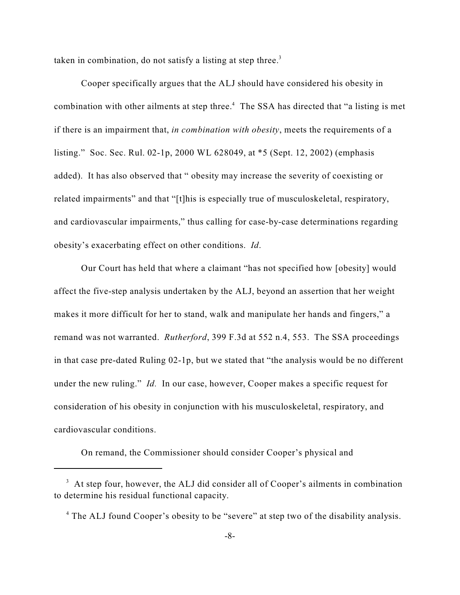taken in combination, do not satisfy a listing at step three.<sup>3</sup>

Cooper specifically argues that the ALJ should have considered his obesity in combination with other ailments at step three.<sup>4</sup> The SSA has directed that "a listing is met if there is an impairment that, *in combination with obesity*, meets the requirements of a listing." Soc. Sec. Rul. 02-1p, 2000 WL 628049, at \*5 (Sept. 12, 2002) (emphasis added). It has also observed that " obesity may increase the severity of coexisting or related impairments" and that "[t]his is especially true of musculoskeletal, respiratory, and cardiovascular impairments," thus calling for case-by-case determinations regarding obesity's exacerbating effect on other conditions. *Id*.

Our Court has held that where a claimant "has not specified how [obesity] would affect the five-step analysis undertaken by the ALJ, beyond an assertion that her weight makes it more difficult for her to stand, walk and manipulate her hands and fingers," a remand was not warranted. *Rutherford*, 399 F.3d at 552 n.4, 553. The SSA proceedings in that case pre-dated Ruling 02-1p, but we stated that "the analysis would be no different under the new ruling." *Id.* In our case, however, Cooper makes a specific request for consideration of his obesity in conjunction with his musculoskeletal, respiratory, and cardiovascular conditions.

On remand, the Commissioner should consider Cooper's physical and

 $3\,$  At step four, however, the ALJ did consider all of Cooper's ailments in combination to determine his residual functional capacity.

<sup>&</sup>lt;sup>4</sup> The ALJ found Cooper's obesity to be "severe" at step two of the disability analysis.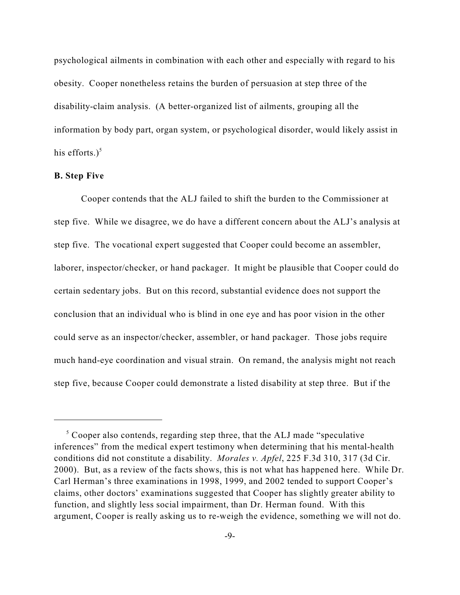psychological ailments in combination with each other and especially with regard to his obesity. Cooper nonetheless retains the burden of persuasion at step three of the disability-claim analysis. (A better-organized list of ailments, grouping all the information by body part, organ system, or psychological disorder, would likely assist in his efforts. $)^5$ 

#### **B. Step Five**

Cooper contends that the ALJ failed to shift the burden to the Commissioner at step five. While we disagree, we do have a different concern about the ALJ's analysis at step five. The vocational expert suggested that Cooper could become an assembler, laborer, inspector/checker, or hand packager. It might be plausible that Cooper could do certain sedentary jobs. But on this record, substantial evidence does not support the conclusion that an individual who is blind in one eye and has poor vision in the other could serve as an inspector/checker, assembler, or hand packager. Those jobs require much hand-eye coordination and visual strain. On remand, the analysis might not reach step five, because Cooper could demonstrate a listed disability at step three. But if the

 $\sigma$ <sup>5</sup> Cooper also contends, regarding step three, that the ALJ made "speculative" inferences" from the medical expert testimony when determining that his mental-health conditions did not constitute a disability. *Morales v. Apfel*, 225 F.3d 310, 317 (3d Cir. 2000). But, as a review of the facts shows, this is not what has happened here. While Dr. Carl Herman's three examinations in 1998, 1999, and 2002 tended to support Cooper's claims, other doctors' examinations suggested that Cooper has slightly greater ability to function, and slightly less social impairment, than Dr. Herman found. With this argument, Cooper is really asking us to re-weigh the evidence, something we will not do.